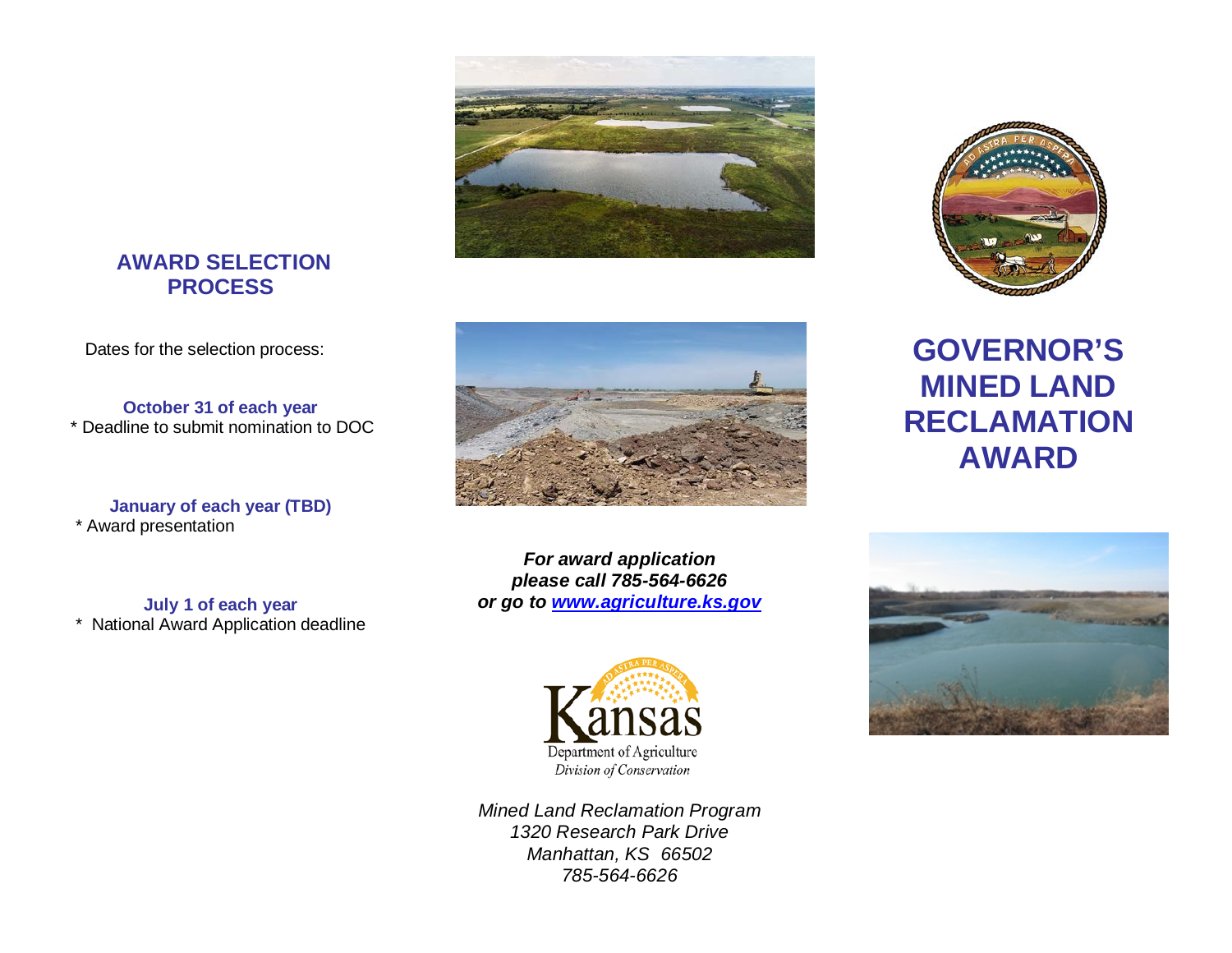#### **AWARD SELECTION PROCESS**

Dates for the selection process:

**October 31 of each year** \* Deadline to submit nomination to DOC

**January of each year (TBD)** \* Award presentation

**July 1 of each year**  \* National Award Application deadline







*For award application please call 785-564-6626 or go to [www.agriculture.ks.gov](http://www.agriculture.ks.gov/)*



*Mined Land Reclamation Program 1320 Research Park Drive Manhattan, KS 66502 785-564-6626*

# **GOVERNOR'S MINED LAND RECLAMATION AWARD**